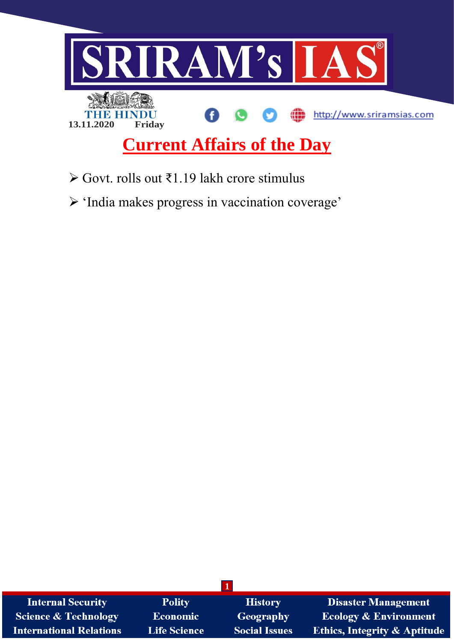

- Govt. rolls out ₹1.19 lakh crore stimulus
- 'India makes progress in vaccination coverage'

| <b>Internal Security</b>        | <b>Polity</b>       | <b>History</b>       | <b>Disaster Management</b>              |
|---------------------------------|---------------------|----------------------|-----------------------------------------|
| <b>Science &amp; Technology</b> | <b>Economic</b>     | Geography            | <b>Ecology &amp; Environment</b>        |
| <b>International Relations</b>  | <b>Life Science</b> | <b>Social Issues</b> | <b>Ethics, Integrity &amp; Aptitude</b> |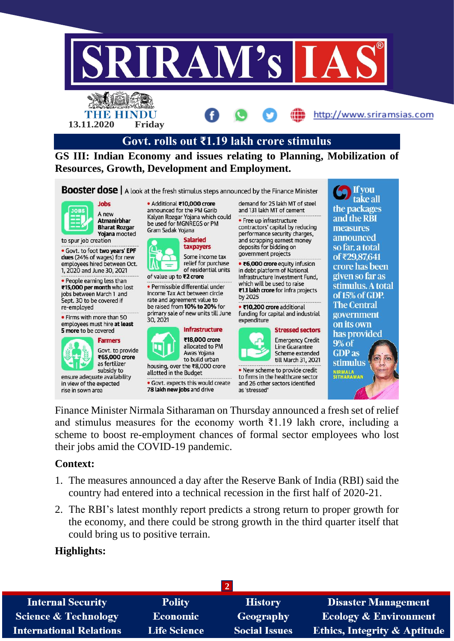

Finance Minister Nirmala Sitharaman on Thursday announced a fresh set of relief and stimulus measures for the economy worth  $\bar{\tau}$ 1.19 lakh crore, including a scheme to boost re-employment chances of formal sector employees who lost their jobs amid the COVID-19 pandemic.

### **Context:**

- 1. The measures announced a day after the Reserve Bank of India (RBI) said the country had entered into a technical recession in the first half of 2020-21.
- 2. The RBI's latest monthly report predicts a strong return to proper growth for the economy, and there could be strong growth in the third quarter itself that could bring us to positive terrain.

### **Highlights:**

| <b>Internal Security</b>        | <b>Polity</b>       | <b>History</b>       | <b>Disaster Management</b>              |  |  |  |
|---------------------------------|---------------------|----------------------|-----------------------------------------|--|--|--|
| <b>Science &amp; Technology</b> | <b>Economic</b>     | <b>Geography</b>     | <b>Ecology &amp; Environment</b>        |  |  |  |
| <b>International Relations</b>  | <b>Life Science</b> | <b>Social Issues</b> | <b>Ethics, Integrity &amp; Aptitude</b> |  |  |  |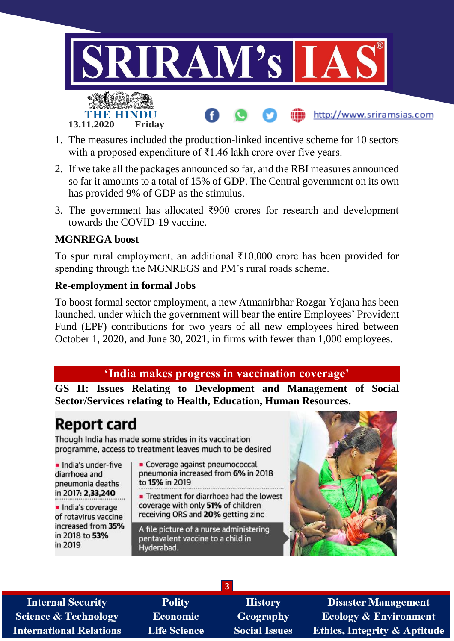

- 1. The measures included the production-linked incentive scheme for 10 sectors with a proposed expenditure of ₹1.46 lakh crore over five years.
- 2. If we take all the packages announced so far, and the RBI measures announced so far it amounts to a total of 15% of GDP. The Central government on its own has provided 9% of GDP as the stimulus.
- 3. The government has allocated ₹900 crores for research and development towards the COVID-19 vaccine.

### **MGNREGA boost**

To spur rural employment, an additional ₹10,000 crore has been provided for spending through the MGNREGS and PM's rural roads scheme.

### **Re-employment in formal Jobs**

To boost formal sector employment, a new Atmanirbhar Rozgar Yojana has been launched, under which the government will bear the entire Employees' Provident Fund (EPF) contributions for two years of all new employees hired between October 1, 2020, and June 30, 2021, in firms with fewer than 1,000 employees.

# **'India makes progress in vaccination coverage'**

**GS II: Issues Relating to Development and Management of Social Sector/Services relating to Health, Education, Human Resources.**

# **Report card**

Though India has made some strides in its vaccination programme, access to treatment leaves much to be desired

· India's under-five diarrhoea and pneumonia deaths in 2017: 2,33,240

· India's coverage of rotavirus vaccine increased from 35% in 2018 to 53% in 2019

• Coverage against pneumococcal pneumonia increased from 6% in 2018 to 15% in 2019

Treatment for diarrhoea had the lowest coverage with only 51% of children receiving ORS and 20% getting zinc

A file picture of a nurse administering pentavalent vaccine to a child in Hyderabad.

**3**



**Internal Security Science & Technology International Relations** 

**Polity Economic Life Science** 

**History** Geography **Social Issues** 

**Disaster Management Ecology & Environment Ethics, Integrity & Aptitude**